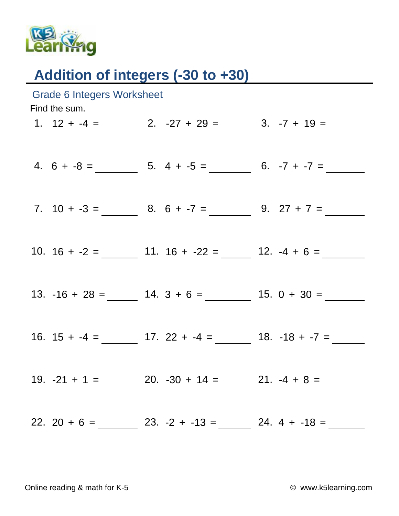

## Addition of integers (-30 to +30)

| Grade 6 Integers Worksheet<br>Find the sum. |  |                                                                                          |  |  |  |
|---------------------------------------------|--|------------------------------------------------------------------------------------------|--|--|--|
|                                             |  | 1. $12 + -4 =$ 2. $-27 + 29 =$ 3. $-7 + 19 =$                                            |  |  |  |
|                                             |  | 4. $6 + -8 =$ 5. $4 + -5 =$ 6. $-7 + -7 =$                                               |  |  |  |
|                                             |  | 7. $10 + -3 =$ 8. $6 + -7 =$ 9. $27 + 7 =$                                               |  |  |  |
|                                             |  | 10. $16 + -2 =$ 11. $16 + -22 =$ 12. $-4 + 6 =$                                          |  |  |  |
|                                             |  | 13. $-16 + 28 =$ 14. $3 + 6 =$ 15. $0 + 30 =$                                            |  |  |  |
|                                             |  |                                                                                          |  |  |  |
|                                             |  | 19. $-21 + 1 =$ 20. $-30 + 14 =$ 21. $-4 + 8 =$                                          |  |  |  |
|                                             |  | 22. 20 + 6 = $\_\_\_\_\_\_$ 23. -2 + -13 = $\_\_\_\_\_$ 24. 4 + -18 = $\_\_\_\_\_\_\_\_$ |  |  |  |